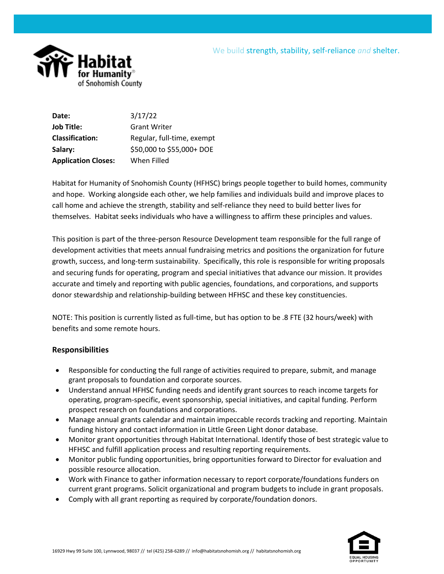



**Date:** 3/17/22 **Job Title:** Grant Writer **Classification:** Regular, full-time, exempt **Salary:** \$50,000 to \$55,000+ DOE **Application Closes:** When Filled

Habitat for Humanity of Snohomish County (HFHSC) brings people together to build homes, community and hope. Working alongside each other, we help families and individuals build and improve places to call home and achieve the strength, stability and self-reliance they need to build better lives for themselves. Habitat seeks individuals who have a willingness to affirm these principles and values.

This position is part of the three-person Resource Development team responsible for the full range of development activities that meets annual fundraising metrics and positions the organization for future growth, success, and long-term sustainability. Specifically, this role is responsible for writing proposals and securing funds for operating, program and special initiatives that advance our mission. It provides accurate and timely and reporting with public agencies, foundations, and corporations, and supports donor stewardship and relationship-building between HFHSC and these key constituencies.

NOTE: This position is currently listed as full-time, but has option to be .8 FTE (32 hours/week) with benefits and some remote hours.

## **Responsibilities**

- Responsible for conducting the full range of activities required to prepare, submit, and manage grant proposals to foundation and corporate sources.
- Understand annual HFHSC funding needs and identify grant sources to reach income targets for operating, program-specific, event sponsorship, special initiatives, and capital funding. Perform prospect research on foundations and corporations.
- Manage annual grants calendar and maintain impeccable records tracking and reporting. Maintain funding history and contact information in Little Green Light donor database.
- Monitor grant opportunities through Habitat International. Identify those of best strategic value to HFHSC and fulfill application process and resulting reporting requirements.
- Monitor public funding opportunities, bring opportunities forward to Director for evaluation and possible resource allocation.
- Work with Finance to gather information necessary to report corporate/foundations funders on current grant programs. Solicit organizational and program budgets to include in grant proposals.
- Comply with all grant reporting as required by corporate/foundation donors.